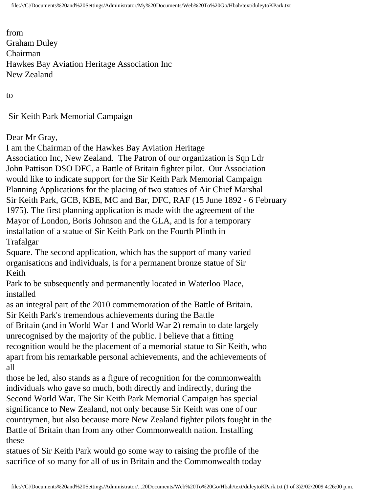from Graham Duley Chairman Hawkes Bay Aviation Heritage Association Inc New Zealand

to

Sir Keith Park Memorial Campaign

Dear Mr Gray,

I am the Chairman of the Hawkes Bay Aviation Heritage Association Inc, New Zealand. The Patron of our organization is Sqn Ldr John Pattison DSO DFC, a Battle of Britain fighter pilot. Our Association would like to indicate support for the Sir Keith Park Memorial Campaign Planning Applications for the placing of two statues of Air Chief Marshal Sir Keith Park, GCB, KBE, MC and Bar, DFC, RAF (15 June 1892 - 6 February 1975). The first planning application is made with the agreement of the Mayor of London, Boris Johnson and the GLA, and is for a temporary installation of a statue of Sir Keith Park on the Fourth Plinth in Trafalgar Square. The second application, which has the support of many varied organisations and individuals, is for a permanent bronze statue of Sir Keith Park to be subsequently and permanently located in Waterloo Place, installed as an integral part of the 2010 commemoration of the Battle of Britain. Sir Keith Park's tremendous achievements during the Battle of Britain (and in World War 1 and World War 2) remain to date largely

unrecognised by the majority of the public. I believe that a fitting recognition would be the placement of a memorial statue to Sir Keith, who apart from his remarkable personal achievements, and the achievements of all

those he led, also stands as a figure of recognition for the commonwealth individuals who gave so much, both directly and indirectly, during the Second World War. The Sir Keith Park Memorial Campaign has special significance to New Zealand, not only because Sir Keith was one of our countrymen, but also because more New Zealand fighter pilots fought in the Battle of Britain than from any other Commonwealth nation. Installing these

statues of Sir Keith Park would go some way to raising the profile of the sacrifice of so many for all of us in Britain and the Commonwealth today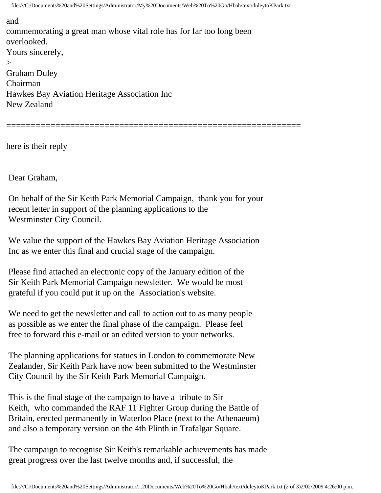file:///C|/Documents%20and%20Settings/Administrator/My%20Documents/Web%20To%20Go/Hbah/text/duleytoKPark.txt

============================================================

## and

commemorating a great man whose vital role has for far too long been overlooked. Yours sincerely,  $\geq$ Graham Duley Chairman Hawkes Bay Aviation Heritage Association Inc New Zealand

here is their reply

Dear Graham,

 On behalf of the Sir Keith Park Memorial Campaign, thank you for your recent letter in support of the planning applications to the Westminster City Council.

 We value the support of the Hawkes Bay Aviation Heritage Association Inc as we enter this final and crucial stage of the campaign.

 Please find attached an electronic copy of the January edition of the Sir Keith Park Memorial Campaign newsletter. We would be most grateful if you could put it up on the Association's website.

 We need to get the newsletter and call to action out to as many people as possible as we enter the final phase of the campaign. Please feel free to forward this e-mail or an edited version to your networks.

 The planning applications for statues in London to commemorate New Zealander, Sir Keith Park have now been submitted to the Westminster City Council by the Sir Keith Park Memorial Campaign.

 This is the final stage of the campaign to have a tribute to Sir Keith, who commanded the RAF 11 Fighter Group during the Battle of Britain, erected permanently in Waterloo Place (next to the Athenaeum) and also a temporary version on the 4th Plinth in Trafalgar Square.

 The campaign to recognise Sir Keith's remarkable achievements has made great progress over the last twelve months and, if successful, the